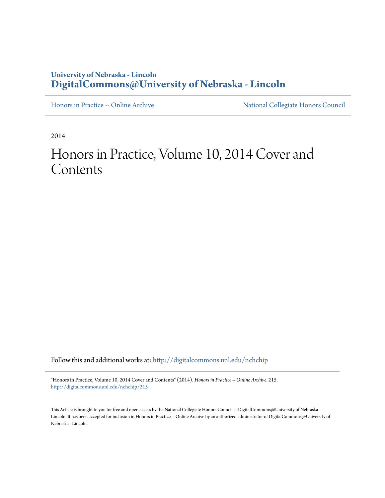#### **University of Nebraska - Lincoln [DigitalCommons@University of Nebraska - Lincoln](http://digitalcommons.unl.edu?utm_source=digitalcommons.unl.edu%2Fnchchip%2F215&utm_medium=PDF&utm_campaign=PDFCoverPages)**

[Honors in Practice -- Online Archive](http://digitalcommons.unl.edu/nchchip?utm_source=digitalcommons.unl.edu%2Fnchchip%2F215&utm_medium=PDF&utm_campaign=PDFCoverPages) [National Collegiate Honors Council](http://digitalcommons.unl.edu/natlcollhonors?utm_source=digitalcommons.unl.edu%2Fnchchip%2F215&utm_medium=PDF&utm_campaign=PDFCoverPages)

2014

# Honors in Practice, Volume 10, 2014 Cover and Contents

Follow this and additional works at: [http://digitalcommons.unl.edu/nchchip](http://digitalcommons.unl.edu/nchchip?utm_source=digitalcommons.unl.edu%2Fnchchip%2F215&utm_medium=PDF&utm_campaign=PDFCoverPages)

"Honors in Practice, Volume 10, 2014 Cover and Contents" (2014). *Honors in Practice -- Online Archive*. 215. [http://digitalcommons.unl.edu/nchchip/215](http://digitalcommons.unl.edu/nchchip/215?utm_source=digitalcommons.unl.edu%2Fnchchip%2F215&utm_medium=PDF&utm_campaign=PDFCoverPages)

This Article is brought to you for free and open access by the National Collegiate Honors Council at DigitalCommons@University of Nebraska -Lincoln. It has been accepted for inclusion in Honors in Practice -- Online Archive by an authorized administrator of DigitalCommons@University of Nebraska - Lincoln.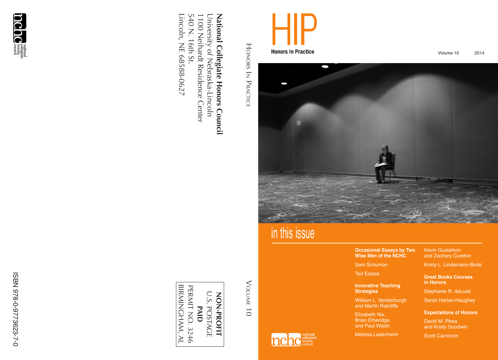

Volume 10 2014



# in this issue

#### **Occasional Essays by Two Wise Men of the NCHC**

Sam Schuman

Ted Estess

#### **Innovative Teaching Strategies**

William L. Vanderburgh and Martin Ratcliffe

Elizabeth Nix, Brian Etheridge, and Paul Walsh

Melissa Ladenheim

Kevin Gustafson and Zachary Cureton

Kristy L. Lindemann-Biolsi

#### **Great Books Courses in Honors**

Stephanie R. deLusé

Sarah Harlan-Haughey

#### **Expectations of Honors**

David M. Rhea and Kristy Goodwin

Scott Carnicom

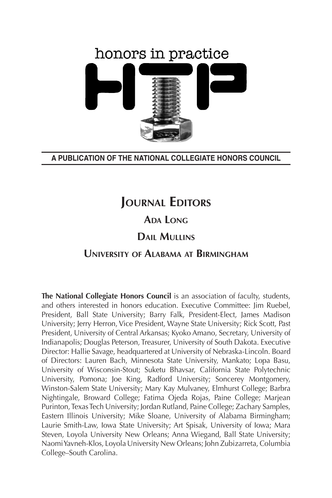# honors in practice

#### **A PUBLICATION OF THE NATIONAL COLLEGIATE HONORS COUNCIL**

## **JOURNAL EDITORS**

#### **Ada Long**

#### **Dail Mullins**

#### **University of Alabama at Birmingham**

**The National Collegiate Honors Council** is an association of faculty, students, and others interested in honors education. Executive Committee: Jim Ruebel, President, Ball State University; Barry Falk, President-Elect, James Madison University; Jerry Herron, Vice President, Wayne State University; Rick Scott, Past President, University of Central Arkansas; Kyoko Amano, Secretary, University of Indianapolis; Douglas Peterson, Treasurer, University of South Dakota. Executive Director: Hallie Savage, headquartered at University of Nebraska-Lincoln. Board of Directors: Lauren Bach, Minnesota State University, Mankato; Lopa Basu, University of Wisconsin-Stout; Suketu Bhavsar, California State Polytechnic University, Pomona; Joe King, Radford University; Soncerey Montgomery, Winston-Salem State University; Mary Kay Mulvaney, Elmhurst College; Barbra Nightingale, Broward College; Fatima Ojeda Rojas, Paine College; Marjean Purinton, Texas Tech University; Jordan Rutland, Paine College; Zachary Samples, Eastern Illinois University; Mike Sloane, University of Alabama Birmingham; Laurie Smith-Law, Iowa State University; Art Spisak, University of Iowa; Mara Steven, Loyola University New Orleans; Anna Wiegand, Ball State University; Naomi Yavneh-Klos, Loyola University New Orleans; John Zubizarreta, Columbia College–South Carolina.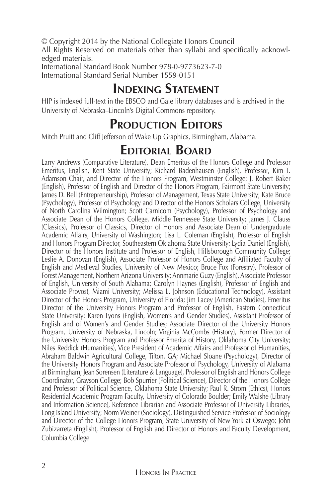© Copyright 2014 by the National Collegiate Honors Council

All Rights Reserved on materials other than syllabi and specifically acknowledged materials.

International Standard Book Number 978-0-9773623-7-0 International Standard Serial Number 1559-0151

## **Indexing Statement**

HIP is indexed full-text in the EBSCO and Gale library databases and is archived in the University of Nebraska–Lincoln's Digital Commons repository.

### **PRODUCTION EDITORS**

Mitch Pruitt and Cliff Jefferson of Wake Up Graphics, Birmingham, Alabama.

#### **Editorial Board**

Larry Andrews (Comparative Literature), Dean Emeritus of the Honors College and Professor Emeritus, English, Kent State University; Richard Badenhausen (English), Professor, Kim T. Adamson Chair, and Director of the Honors Program, Westminster College; J. Robert Baker (English), Professor of English and Director of the Honors Program, Fairmont State University; James D. Bell (Entrepreneurship), Professor of Management, Texas State University; Kate Bruce (Psychology), Professor of Psychology and Director of the Honors Scholars College, University of North Carolina Wilmington; Scott Carnicom (Psychology), Professor of Psychology and Associate Dean of the Honors College, Middle Tennessee State University; James J. Clauss (Classics), Professor of Classics, Director of Honors and Associate Dean of Undergraduate Academic Affairs, University of Washington; Lisa L. Coleman (English), Professor of English and Honors Program Director, Southeastern Oklahoma State University; Lydia Daniel (English), Director of the Honors Institute and Professor of English, Hillsborough Community College; Leslie A. Donovan (English), Associate Professor of Honors College and Affiliated Faculty of English and Medieval Studies, University of New Mexico; Bruce Fox (Forestry), Professor of Forest Management, Northern Arizona University; Annmarie Guzy (English), Associate Professor of English, University of South Alabama; Carolyn Haynes (English), Professor of English and Associate Provost, Miami University; Melissa L. Johnson (Educational Technology), Assistant Director of the Honors Program, University of Florida; Jim Lacey (American Studies), Emeritus Director of the University Honors Program and Professor of English, Eastern Connecticut State University; Karen Lyons (English, Women's and Gender Studies), Assistant Professor of English and of Women's and Gender Studies; Associate Director of the University Honors Program, University of Nebraska, Lincoln; Virginia McCombs (History), Former Director of the University Honors Program and Professor Emerita of History, Oklahoma City University; Niles Reddick (Humanities), Vice President of Academic Affairs and Professor of Humanities, Abraham Baldwin Agricultural College, Tifton, GA; Michael Sloane (Psychology), Director of the University Honors Program and Associate Professor of Psychology, University of Alabama at Birmingham; Jean Sorensen (Literature & Language), Professor of English and Honors College Coordinator, Grayson College; Bob Spurrier (Political Science), Director of the Honors College and Professor of Political Science, Oklahoma State University; Paul R. Strom (Ethics), Honors Residential Academic Program Faculty, University of Colorado Boulder; Emily Walshe (Library and Information Science), Reference Librarian and Associate Professor of University Libraries, Long Island University; Norm Weiner (Sociology), Distinguished Service Professor of Sociology and Director of the College Honors Program, State University of New York at Oswego; John Zubizarreta (English), Professor of English and Director of Honors and Faculty Development, Columbia College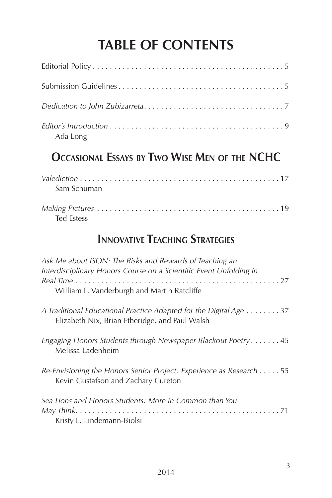# **Table of Contents**

| Ada Long                                                                                                                      |
|-------------------------------------------------------------------------------------------------------------------------------|
| OCCASIONAL ESSAYS BY TWO WISE MEN OF THE NCHC                                                                                 |
| Sam Schuman                                                                                                                   |
| <b>Ted Estess</b>                                                                                                             |
| <b>INNOVATIVE TEACHING STRATEGIES</b>                                                                                         |
| Ask Me about ISON: The Risks and Rewards of Teaching an<br>Interdisciplinary Honors Course on a Scientific Event Unfolding in |
| William L. Vanderburgh and Martin Ratcliffe                                                                                   |
| A Traditional Educational Practice Adapted for the Digital Age 37<br>Elizabeth Nix, Brian Etheridge, and Paul Walsh           |
| Engaging Honors Students through Newspaper Blackout Poetry 45<br>Melissa Ladenheim                                            |
| Re-Envisioning the Honors Senior Project: Experience as Research 55<br>Kevin Gustafson and Zachary Cureton                    |
| Sea Lions and Honors Students: More in Common than You                                                                        |
| Kristy L. Lindemann-Biolsi                                                                                                    |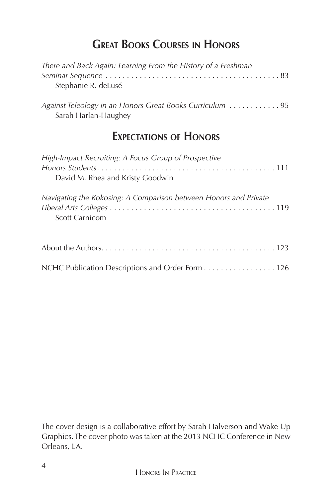#### **Great Books Courses in Honors**

| There and Back Again: Learning From the History of a Freshman<br>Stephanie R. deLusé      |
|-------------------------------------------------------------------------------------------|
| Against Teleology in an Honors Great Books Curriculum  95<br>Sarah Harlan-Haughey         |
| <b>EXPECTATIONS OF HONORS</b>                                                             |
| High-Impact Recruiting: A Focus Group of Prospective<br>David M. Rhea and Kristy Goodwin  |
| Navigating the Kokosing: A Comparison between Honors and Private<br><b>Scott Carnicom</b> |
|                                                                                           |
| NCHC Publication Descriptions and Order Form 126                                          |

The cover design is a collaborative effort by Sarah Halverson and Wake Up Graphics. The cover photo was taken at the 2013 NCHC Conference in New Orleans, LA.